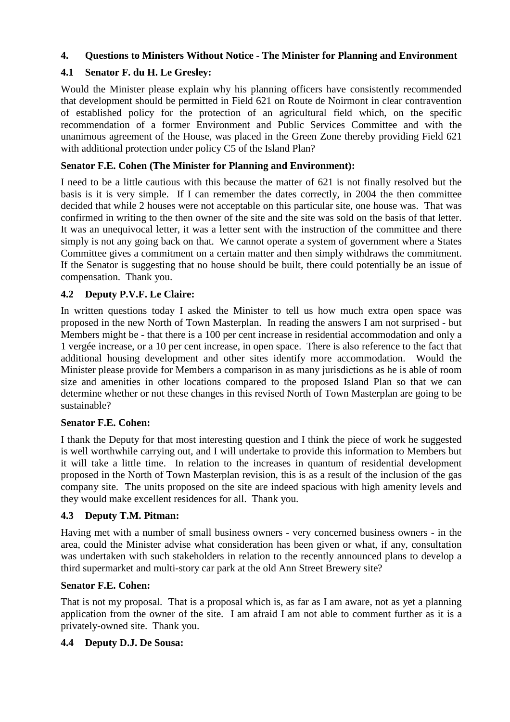# **4. Questions to Ministers Without Notice - The Minister for Planning and Environment**

# **4.1 Senator F. du H. Le Gresley:**

Would the Minister please explain why his planning officers have consistently recommended that development should be permitted in Field 621 on Route de Noirmont in clear contravention of established policy for the protection of an agricultural field which, on the specific recommendation of a former Environment and Public Services Committee and with the unanimous agreement of the House, was placed in the Green Zone thereby providing Field 621 with additional protection under policy C5 of the Island Plan?

## **Senator F.E. Cohen (The Minister for Planning and Environment):**

I need to be a little cautious with this because the matter of 621 is not finally resolved but the basis is it is very simple. If I can remember the dates correctly, in 2004 the then committee decided that while 2 houses were not acceptable on this particular site, one house was. That was confirmed in writing to the then owner of the site and the site was sold on the basis of that letter. It was an unequivocal letter, it was a letter sent with the instruction of the committee and there simply is not any going back on that. We cannot operate a system of government where a States Committee gives a commitment on a certain matter and then simply withdraws the commitment. If the Senator is suggesting that no house should be built, there could potentially be an issue of compensation. Thank you.

# **4.2 Deputy P.V.F. Le Claire:**

In written questions today I asked the Minister to tell us how much extra open space was proposed in the new North of Town Masterplan. In reading the answers I am not surprised - but Members might be - that there is a 100 per cent increase in residential accommodation and only a 1 vergée increase, or a 10 per cent increase, in open space. There is also reference to the fact that additional housing development and other sites identify more accommodation. Would the Minister please provide for Members a comparison in as many jurisdictions as he is able of room size and amenities in other locations compared to the proposed Island Plan so that we can determine whether or not these changes in this revised North of Town Masterplan are going to be sustainable?

#### **Senator F.E. Cohen:**

I thank the Deputy for that most interesting question and I think the piece of work he suggested is well worthwhile carrying out, and I will undertake to provide this information to Members but it will take a little time. In relation to the increases in quantum of residential development proposed in the North of Town Masterplan revision, this is as a result of the inclusion of the gas company site. The units proposed on the site are indeed spacious with high amenity levels and they would make excellent residences for all. Thank you.

## **4.3 Deputy T.M. Pitman:**

Having met with a number of small business owners - very concerned business owners - in the area, could the Minister advise what consideration has been given or what, if any, consultation was undertaken with such stakeholders in relation to the recently announced plans to develop a third supermarket and multi-story car park at the old Ann Street Brewery site?

#### **Senator F.E. Cohen:**

That is not my proposal. That is a proposal which is, as far as I am aware, not as yet a planning application from the owner of the site. I am afraid I am not able to comment further as it is a privately-owned site. Thank you.

#### **4.4 Deputy D.J. De Sousa:**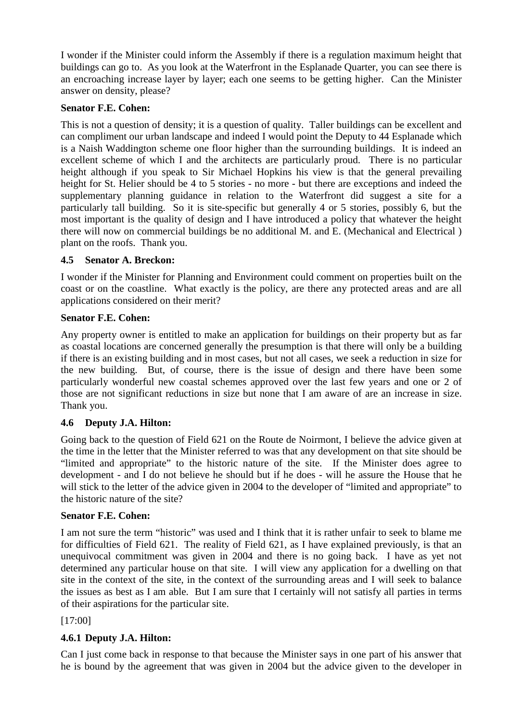I wonder if the Minister could inform the Assembly if there is a regulation maximum height that buildings can go to. As you look at the Waterfront in the Esplanade Quarter, you can see there is an encroaching increase layer by layer; each one seems to be getting higher. Can the Minister answer on density, please?

## **Senator F.E. Cohen:**

This is not a question of density; it is a question of quality. Taller buildings can be excellent and can compliment our urban landscape and indeed I would point the Deputy to 44 Esplanade which is a Naish Waddington scheme one floor higher than the surrounding buildings. It is indeed an excellent scheme of which I and the architects are particularly proud. There is no particular height although if you speak to Sir Michael Hopkins his view is that the general prevailing height for St. Helier should be 4 to 5 stories - no more - but there are exceptions and indeed the supplementary planning guidance in relation to the Waterfront did suggest a site for a particularly tall building. So it is site-specific but generally 4 or 5 stories, possibly 6, but the most important is the quality of design and I have introduced a policy that whatever the height there will now on commercial buildings be no additional M. and E. (Mechanical and Electrical ) plant on the roofs. Thank you.

## **4.5 Senator A. Breckon:**

I wonder if the Minister for Planning and Environment could comment on properties built on the coast or on the coastline. What exactly is the policy, are there any protected areas and are all applications considered on their merit?

#### **Senator F.E. Cohen:**

Any property owner is entitled to make an application for buildings on their property but as far as coastal locations are concerned generally the presumption is that there will only be a building if there is an existing building and in most cases, but not all cases, we seek a reduction in size for the new building. But, of course, there is the issue of design and there have been some particularly wonderful new coastal schemes approved over the last few years and one or 2 of those are not significant reductions in size but none that I am aware of are an increase in size. Thank you.

## **4.6 Deputy J.A. Hilton:**

Going back to the question of Field 621 on the Route de Noirmont, I believe the advice given at the time in the letter that the Minister referred to was that any development on that site should be "limited and appropriate" to the historic nature of the site. If the Minister does agree to development - and I do not believe he should but if he does - will he assure the House that he will stick to the letter of the advice given in 2004 to the developer of "limited and appropriate" to the historic nature of the site?

## **Senator F.E. Cohen:**

I am not sure the term "historic" was used and I think that it is rather unfair to seek to blame me for difficulties of Field 621. The reality of Field 621, as I have explained previously, is that an unequivocal commitment was given in 2004 and there is no going back. I have as yet not determined any particular house on that site. I will view any application for a dwelling on that site in the context of the site, in the context of the surrounding areas and I will seek to balance the issues as best as I am able. But I am sure that I certainly will not satisfy all parties in terms of their aspirations for the particular site.

#### [17:00]

## **4.6.1 Deputy J.A. Hilton:**

Can I just come back in response to that because the Minister says in one part of his answer that he is bound by the agreement that was given in 2004 but the advice given to the developer in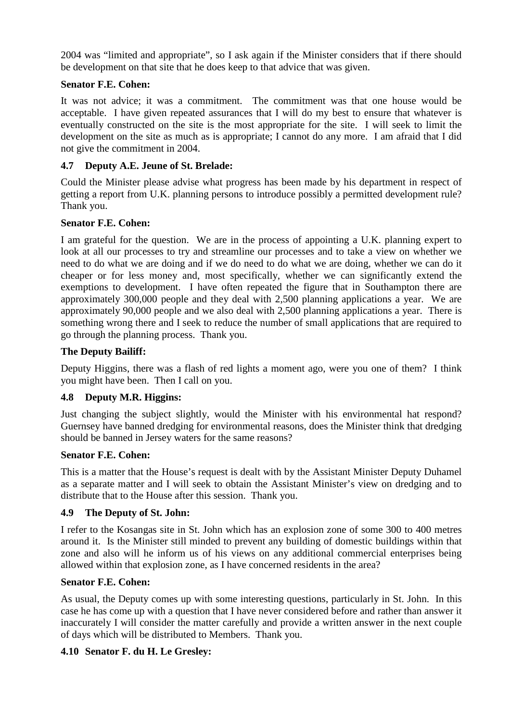2004 was "limited and appropriate", so I ask again if the Minister considers that if there should be development on that site that he does keep to that advice that was given.

# **Senator F.E. Cohen:**

It was not advice; it was a commitment. The commitment was that one house would be acceptable. I have given repeated assurances that I will do my best to ensure that whatever is eventually constructed on the site is the most appropriate for the site. I will seek to limit the development on the site as much as is appropriate; I cannot do any more. I am afraid that I did not give the commitment in 2004.

# **4.7 Deputy A.E. Jeune of St. Brelade:**

Could the Minister please advise what progress has been made by his department in respect of getting a report from U.K. planning persons to introduce possibly a permitted development rule? Thank you.

# **Senator F.E. Cohen:**

I am grateful for the question. We are in the process of appointing a U.K. planning expert to look at all our processes to try and streamline our processes and to take a view on whether we need to do what we are doing and if we do need to do what we are doing, whether we can do it cheaper or for less money and, most specifically, whether we can significantly extend the exemptions to development. I have often repeated the figure that in Southampton there are approximately 300,000 people and they deal with 2,500 planning applications a year. We are approximately 90,000 people and we also deal with 2,500 planning applications a year. There is something wrong there and I seek to reduce the number of small applications that are required to go through the planning process. Thank you.

# **The Deputy Bailiff:**

Deputy Higgins, there was a flash of red lights a moment ago, were you one of them? I think you might have been. Then I call on you.

## **4.8 Deputy M.R. Higgins:**

Just changing the subject slightly, would the Minister with his environmental hat respond? Guernsey have banned dredging for environmental reasons, does the Minister think that dredging should be banned in Jersey waters for the same reasons?

## **Senator F.E. Cohen:**

This is a matter that the House's request is dealt with by the Assistant Minister Deputy Duhamel as a separate matter and I will seek to obtain the Assistant Minister's view on dredging and to distribute that to the House after this session. Thank you.

## **4.9 The Deputy of St. John:**

I refer to the Kosangas site in St. John which has an explosion zone of some 300 to 400 metres around it. Is the Minister still minded to prevent any building of domestic buildings within that zone and also will he inform us of his views on any additional commercial enterprises being allowed within that explosion zone, as I have concerned residents in the area?

## **Senator F.E. Cohen:**

As usual, the Deputy comes up with some interesting questions, particularly in St. John. In this case he has come up with a question that I have never considered before and rather than answer it inaccurately I will consider the matter carefully and provide a written answer in the next couple of days which will be distributed to Members. Thank you.

## **4.10 Senator F. du H. Le Gresley:**